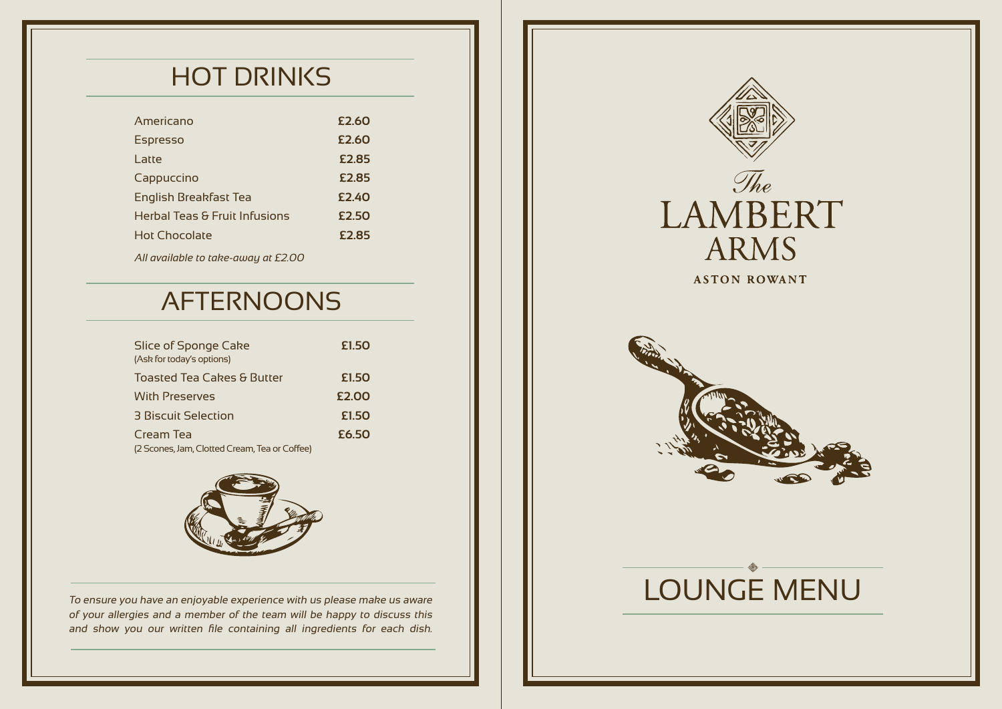# HOT DRINKS

| Americano                     | £2.60 |
|-------------------------------|-------|
| <b>Espresso</b>               | £2.60 |
| l atte                        | £2.85 |
| Cappuccino                    | £2.85 |
| English Breakfast Tea         | £2.40 |
| Herbal Teas & Fruit Infusions | £2.50 |
| Hot Chocolate                 | £2.85 |
|                               |       |

*All available to take-away at £2.00* 

## AFTERNOONS

| Slice of Sponge Cake<br>(Ask for today's options) | £1.50 |
|---------------------------------------------------|-------|
| Toasted Tea Cakes & Butter                        | £1.50 |
| <b>With Preserves</b>                             | £2.00 |
| 3 Biscuit Selection                               | £1.50 |
| Cream Tea                                         | £6.50 |
| (2 Scones, Jam, Clotted Cream, Tea or Coffee)     |       |



To ensure you have an enjoyable experience with us please make us aware of your allergies and a member of the team will be happy to discuss this and show you our written file containing all ingredients for each dish.